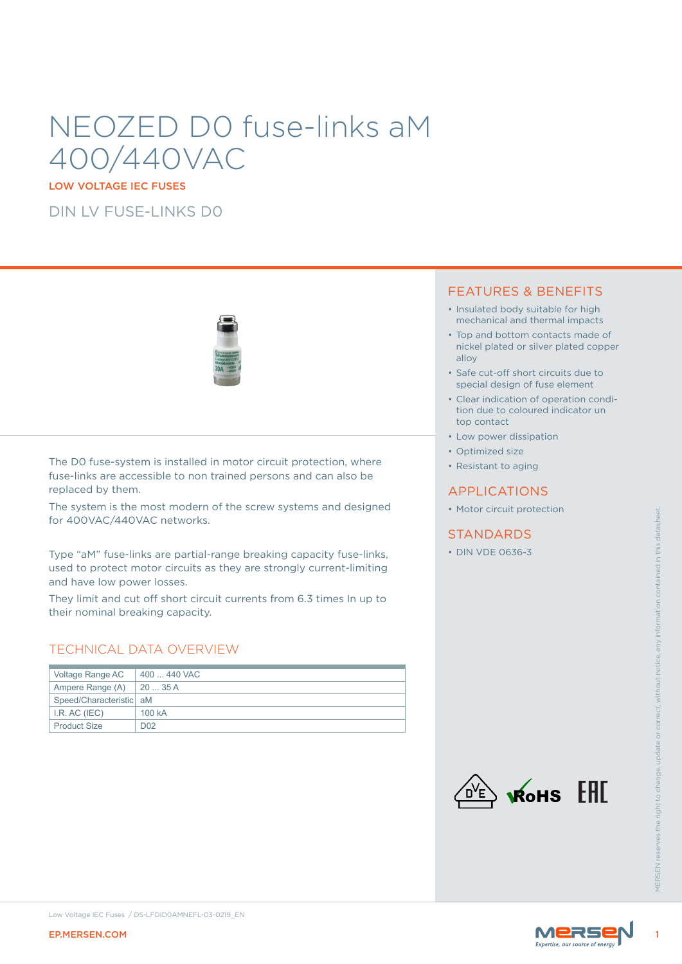# NEOZED D0 fuse-links aM 400/440VAC

LOW VOLTAGE IEC FUSES

DIN LV FUSE-LINKS D0



The D0 fuse-system is installed in motor circuit protection, where fuse-links are accessible to non trained persons and can also be replaced by them.

The system is the most modern of the screw systems and designed for 400VAC/440VAC networks.

### TECHNICAL DATA OVERVIEW

| for 400VAC/440VAC networks.                                    | THE SYSTEM IS THE HOST MOUTH OF THE SCIEW SYSTEMS AND DESIGNED                                                                                                                                                        | • Motor circuit protection |                    |
|----------------------------------------------------------------|-----------------------------------------------------------------------------------------------------------------------------------------------------------------------------------------------------------------------|----------------------------|--------------------|
|                                                                |                                                                                                                                                                                                                       | <b>STANDARDS</b>           |                    |
| and have low power losses.<br>their nominal breaking capacity. | Type "aM" fuse-links are partial-range breaking capacity fuse-links,<br>used to protect motor circuits as they are strongly current-limiting<br>They limit and cut off short circuit currents from 6.3 times In up to | • DIN VDE 0636-3           |                    |
|                                                                | <b>TECHNICAL DATA OVERVIEW</b>                                                                                                                                                                                        |                            |                    |
| Voltage Range AC                                               | 400  440 VAC                                                                                                                                                                                                          |                            |                    |
| Ampere Range (A)                                               | 20  35 A                                                                                                                                                                                                              |                            |                    |
| Speed/Characteristic   aM                                      |                                                                                                                                                                                                                       |                            |                    |
| I.R. AC (IEC)<br><b>Product Size</b>                           | 100 kA<br>D <sub>02</sub>                                                                                                                                                                                             |                            |                    |
|                                                                |                                                                                                                                                                                                                       | EAC<br>RoHS                | <b>VIFRSEN res</b> |
| <b>EP.MERSEN.COM</b>                                           | Low Voltage IEC Fuses / DS-LFDID0AMNEFL-03-0219_EN                                                                                                                                                                    | <b>MERS</b>                |                    |
|                                                                |                                                                                                                                                                                                                       |                            |                    |

### FEATURES & BENEFITS

- Insulated body suitable for high mechanical and thermal impacts
- Top and bottom contacts made of nickel plated or silver plated copper alloy
- Safe cut-off short circuits due to special design of fuse element
- Clear indication of operation condition due to coloured indicator un top contact
- Low power dissipation
- Optimized size
- Resistant to aging

### APPLICATIONS

• Motor circuit protection

### **STANDARDS**



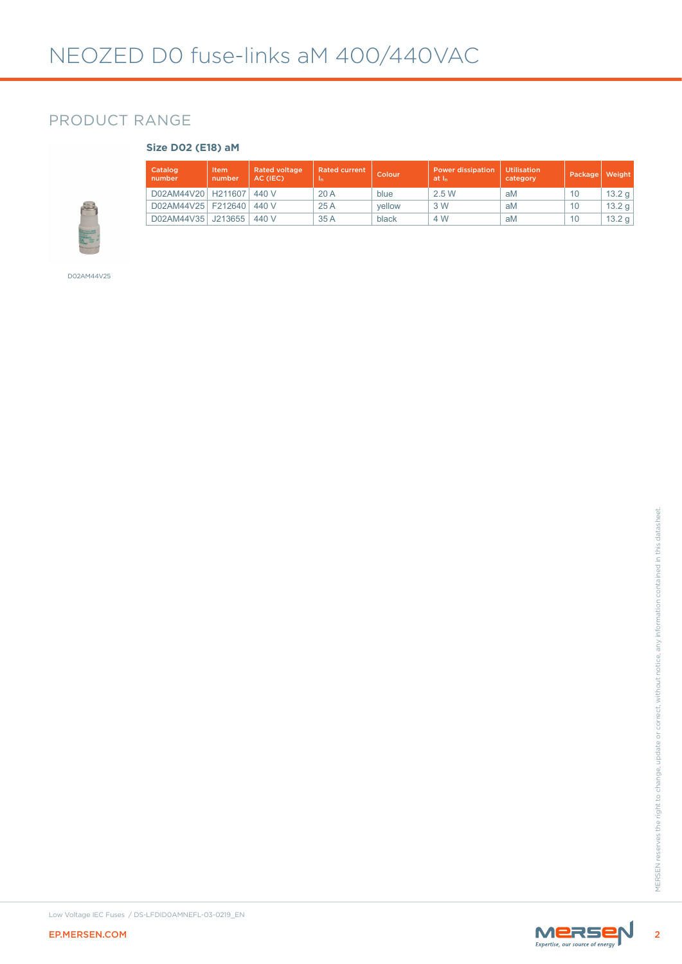### PRODUCT RANGE

### **Size D02 (E18) aM**

| Catalog<br>number    | Item<br>number | <b>Rated voltage</b><br>AC (IEC) | <b>Rated current</b><br>In. | Colour | <b>Power dissipation</b><br>at I <sub>n</sub> | <b>Utilisation</b><br>category | Package | Weight              |
|----------------------|----------------|----------------------------------|-----------------------------|--------|-----------------------------------------------|--------------------------------|---------|---------------------|
| D02AM44V20 H211607   |                | 440 V                            | 20A                         | blue   | 2.5W                                          | aM                             | 10      | 13.2 g              |
| D02AM44V25   F212640 |                | 440 V                            | 25A                         | vellow | 3 W                                           | aM                             | 10      | 13.2 g              |
| D02AM44V35 J213655   |                | 440 V                            | 35A                         | black  | 4 W                                           | aM                             | 10      | 13.2 g <sub>1</sub> |

D02AM44V25



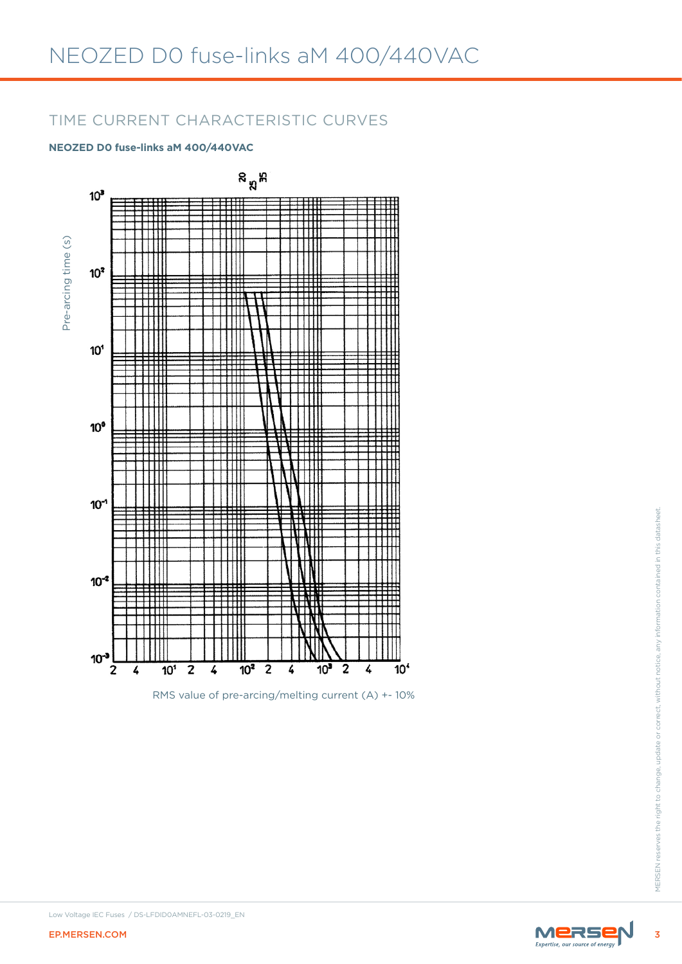### TIME CURRENT CHARACTERISTIC CURVES

### **NEOZED D0 fuse-links aM 400/440VAC**



RMS value of pre-arcing/melting current (A) +- 10%

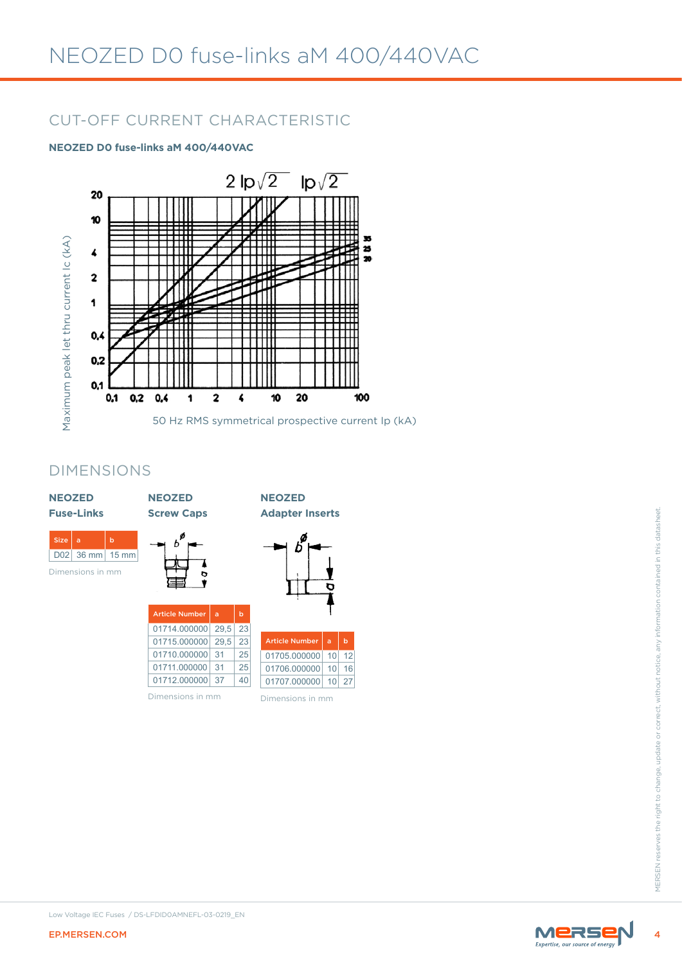# CUT-OFF CURRENT CHARACTERISTIC

### **NEOZED D0 fuse-links aM 400/440VAC**



### DIMENSIONS

| <b>NEOZED</b><br><b>Fuse-Links</b>                   | <b>NEOZED</b><br><b>Screw Caps</b>                                                                                                                                                                                        | <b>NEOZED</b><br><b>Adapter Inserts</b>                                                                                                |       |                                                                                                                     |
|------------------------------------------------------|---------------------------------------------------------------------------------------------------------------------------------------------------------------------------------------------------------------------------|----------------------------------------------------------------------------------------------------------------------------------------|-------|---------------------------------------------------------------------------------------------------------------------|
| Size   a<br>b<br>D02 36 mm 15 mm<br>Dimensions in mm |                                                                                                                                                                                                                           | b<br>ס                                                                                                                                 |       |                                                                                                                     |
|                                                      | <b>Article Number</b><br>$\mathbf b$<br>$\mathbf{a}$<br>$\overline{0171}4.000000   29,5 $<br>23<br>23<br>01715.000000 29,5<br>25<br>01710.000000 31<br>25<br>01711.000000 31<br>01712.000000 37<br>40<br>Dimensions in mm | <b>Article Number</b><br>$\mathbf b$<br>$\alpha$<br>01705.000000 10 12<br>01706.000000 10 16<br>01707.000000 10 27<br>Dimensions in mm |       | MERSEN reserves the right to change, undate or correct, without notice, any information contained in this datasheet |
|                                                      | Low Voltage IEC Fuses / DS-LFDID0AMNEFL-03-0219_EN                                                                                                                                                                        |                                                                                                                                        |       |                                                                                                                     |
| EP.MERSEN.COM                                        |                                                                                                                                                                                                                           |                                                                                                                                        | MERSE |                                                                                                                     |